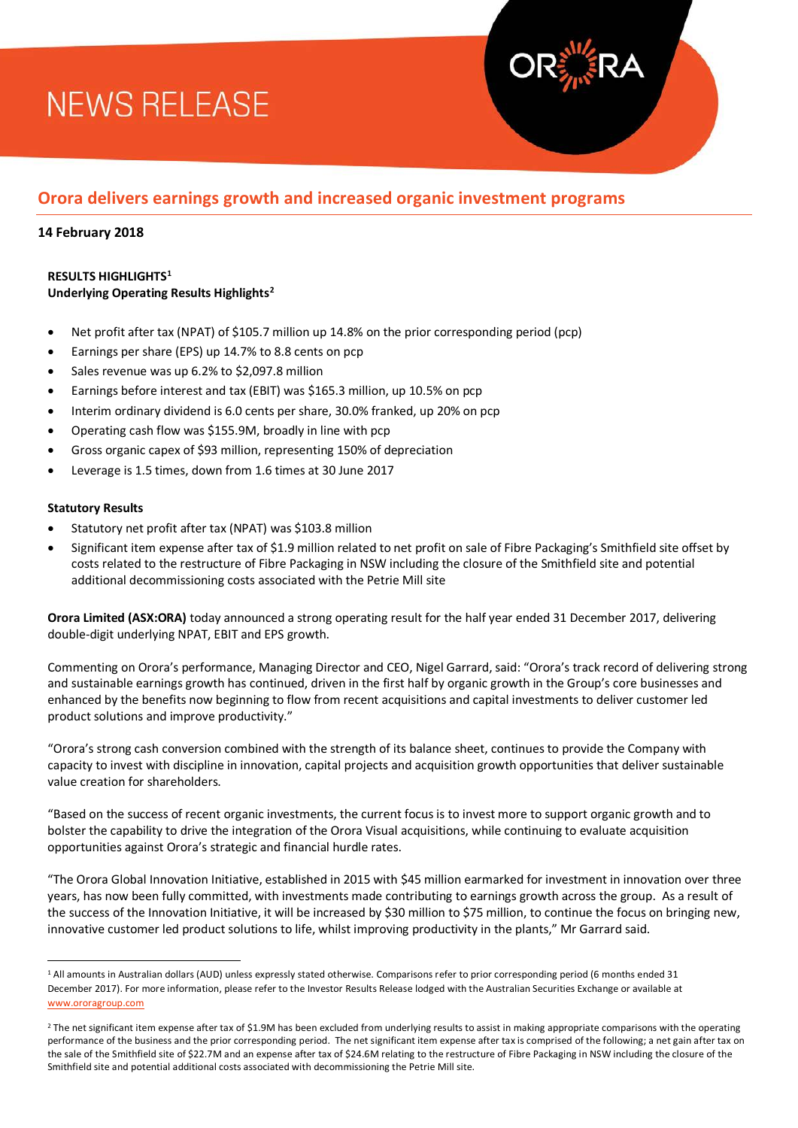# **NEWS RELEASE**

### **Orora delivers earnings growth and increased organic investment programs**

### **14 February 2018**

#### **RESULTS HIGHLIGHTS[1](#page-0-0) Underlying Operating Results Highlight[s2](#page-0-1)**

- Net profit after tax (NPAT) of \$105.7 million up 14.8% on the prior corresponding period (pcp)
- Earnings per share (EPS) up 14.7% to 8.8 cents on pcp
- Sales revenue was up 6.2% to \$2,097.8 million
- Earnings before interest and tax (EBIT) was \$165.3 million, up 10.5% on pcp
- Interim ordinary dividend is 6.0 cents per share, 30.0% franked, up 20% on pcp
- Operating cash flow was \$155.9M, broadly in line with pcp
- Gross organic capex of \$93 million, representing 150% of depreciation
- Leverage is 1.5 times, down from 1.6 times at 30 June 2017

#### **Statutory Results**

 $\overline{a}$ 

- Statutory net profit after tax (NPAT) was \$103.8 million
- Significant item expense after tax of \$1.9 million related to net profit on sale of Fibre Packaging's Smithfield site offset by costs related to the restructure of Fibre Packaging in NSW including the closure of the Smithfield site and potential additional decommissioning costs associated with the Petrie Mill site

**Orora Limited (ASX:ORA)** today announced a strong operating result for the half year ended 31 December 2017, delivering double-digit underlying NPAT, EBIT and EPS growth.

Commenting on Orora's performance, Managing Director and CEO, Nigel Garrard, said: "Orora's track record of delivering strong and sustainable earnings growth has continued, driven in the first half by organic growth in the Group's core businesses and enhanced by the benefits now beginning to flow from recent acquisitions and capital investments to deliver customer led product solutions and improve productivity."

"Orora's strong cash conversion combined with the strength of its balance sheet, continues to provide the Company with capacity to invest with discipline in innovation, capital projects and acquisition growth opportunities that deliver sustainable value creation for shareholders.

"Based on the success of recent organic investments, the current focus is to invest more to support organic growth and to bolster the capability to drive the integration of the Orora Visual acquisitions, while continuing to evaluate acquisition opportunities against Orora's strategic and financial hurdle rates.

"The Orora Global Innovation Initiative, established in 2015 with \$45 million earmarked for investment in innovation over three years, has now been fully committed, with investments made contributing to earnings growth across the group. As a result of the success of the Innovation Initiative, it will be increased by \$30 million to \$75 million, to continue the focus on bringing new, innovative customer led product solutions to life, whilst improving productivity in the plants," Mr Garrard said.

<span id="page-0-0"></span><sup>&</sup>lt;sup>1</sup> All amounts in Australian dollars (AUD) unless expressly stated otherwise. Comparisons refer to prior corresponding period (6 months ended 31 December 2017). For more information, please refer to the Investor Results Release lodged with the Australian Securities Exchange or available at [www.ororagroup.com](http://www.ororagroup.com/)

<span id="page-0-1"></span><sup>&</sup>lt;sup>2</sup> The net significant item expense after tax of \$1.9M has been excluded from underlying results to assist in making appropriate comparisons with the operating performance of the business and the prior corresponding period. The net significant item expense after tax is comprised of the following; a net gain after tax on the sale of the Smithfield site of \$22.7M and an expense after tax of \$24.6M relating to the restructure of Fibre Packaging in NSW including the closure of the Smithfield site and potential additional costs associated with decommissioning the Petrie Mill site.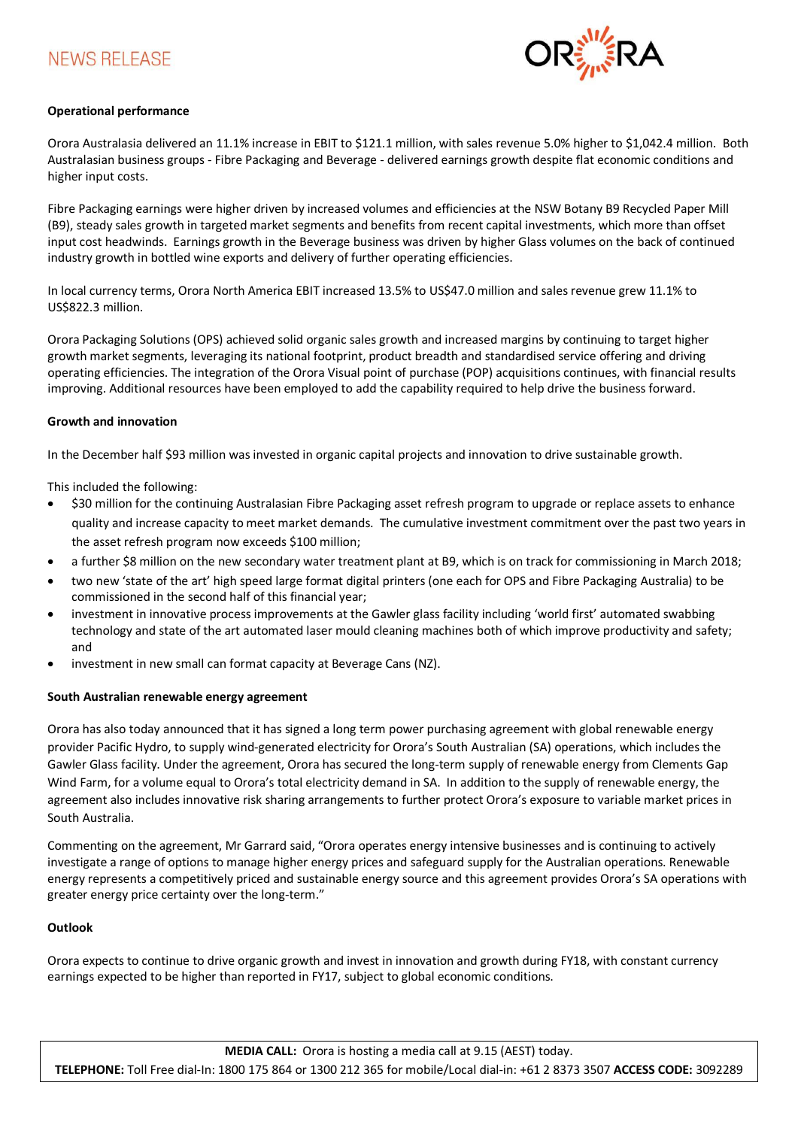### **NEWS RELEASE**



#### **Operational performance**

Orora Australasia delivered an 11.1% increase in EBIT to \$121.1 million, with sales revenue 5.0% higher to \$1,042.4 million. Both Australasian business groups - Fibre Packaging and Beverage - delivered earnings growth despite flat economic conditions and higher input costs.

Fibre Packaging earnings were higher driven by increased volumes and efficiencies at the NSW Botany B9 Recycled Paper Mill (B9), steady sales growth in targeted market segments and benefits from recent capital investments, which more than offset input cost headwinds. Earnings growth in the Beverage business was driven by higher Glass volumes on the back of continued industry growth in bottled wine exports and delivery of further operating efficiencies.

In local currency terms, Orora North America EBIT increased 13.5% to US\$47.0 million and sales revenue grew 11.1% to US\$822.3 million.

Orora Packaging Solutions (OPS) achieved solid organic sales growth and increased margins by continuing to target higher growth market segments, leveraging its national footprint, product breadth and standardised service offering and driving operating efficiencies. The integration of the Orora Visual point of purchase (POP) acquisitions continues, with financial results improving. Additional resources have been employed to add the capability required to help drive the business forward.

#### **Growth and innovation**

In the December half \$93 million was invested in organic capital projects and innovation to drive sustainable growth.

This included the following:

- \$30 million for the continuing Australasian Fibre Packaging asset refresh program to upgrade or replace assets to enhance quality and increase capacity to meet market demands. The cumulative investment commitment over the past two years in the asset refresh program now exceeds \$100 million;
- a further \$8 million on the new secondary water treatment plant at B9, which is on track for commissioning in March 2018;
- two new 'state of the art' high speed large format digital printers (one each for OPS and Fibre Packaging Australia) to be commissioned in the second half of this financial year;
- investment in innovative process improvements at the Gawler glass facility including 'world first' automated swabbing technology and state of the art automated laser mould cleaning machines both of which improve productivity and safety; and
- investment in new small can format capacity at Beverage Cans (NZ).

#### **South Australian renewable energy agreement**

Orora has also today announced that it has signed a long term power purchasing agreement with global renewable energy provider Pacific Hydro, to supply wind-generated electricity for Orora's South Australian (SA) operations, which includes the Gawler Glass facility. Under the agreement, Orora has secured the long-term supply of renewable energy from Clements Gap Wind Farm, for a volume equal to Orora's total electricity demand in SA. In addition to the supply of renewable energy, the agreement also includes innovative risk sharing arrangements to further protect Orora's exposure to variable market prices in South Australia.

Commenting on the agreement, Mr Garrard said, "Orora operates energy intensive businesses and is continuing to actively investigate a range of options to manage higher energy prices and safeguard supply for the Australian operations. Renewable energy represents a competitively priced and sustainable energy source and this agreement provides Orora's SA operations with greater energy price certainty over the long-term."

#### **Outlook**

Orora expects to continue to drive organic growth and invest in innovation and growth during FY18, with constant currency earnings expected to be higher than reported in FY17, subject to global economic conditions.